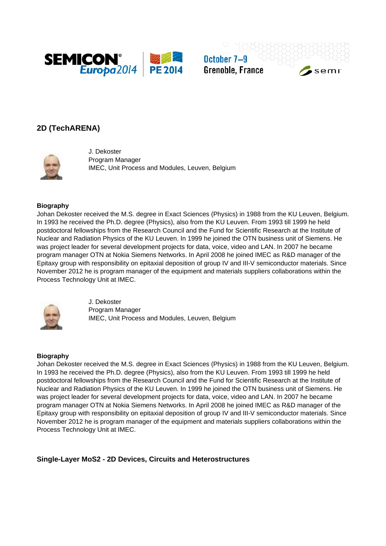

October 7-9 **Grenoble, France** 

# semi

# **2D (TechARENA)**



J. Dekoster Program Manager IMEC, Unit Process and Modules, Leuven, Belgium

## **Biography**

Johan Dekoster received the M.S. degree in Exact Sciences (Physics) in 1988 from the KU Leuven, Belgium. In 1993 he received the Ph.D. degree (Physics), also from the KU Leuven. From 1993 till 1999 he held postdoctoral fellowships from the Research Council and the Fund for Scientific Research at the Institute of Nuclear and Radiation Physics of the KU Leuven. In 1999 he joined the OTN business unit of Siemens. He was project leader for several development projects for data, voice, video and LAN. In 2007 he became program manager OTN at Nokia Siemens Networks. In April 2008 he joined IMEC as R&D manager of the Epitaxy group with responsibility on epitaxial deposition of group IV and III-V semiconductor materials. Since November 2012 he is program manager of the equipment and materials suppliers collaborations within the Process Technology Unit at IMEC.



J. Dekoster Program Manager IMEC, Unit Process and Modules, Leuven, Belgium

### **Biography**

Johan Dekoster received the M.S. degree in Exact Sciences (Physics) in 1988 from the KU Leuven, Belgium. In 1993 he received the Ph.D. degree (Physics), also from the KU Leuven. From 1993 till 1999 he held postdoctoral fellowships from the Research Council and the Fund for Scientific Research at the Institute of Nuclear and Radiation Physics of the KU Leuven. In 1999 he joined the OTN business unit of Siemens. He was project leader for several development projects for data, voice, video and LAN. In 2007 he became program manager OTN at Nokia Siemens Networks. In April 2008 he joined IMEC as R&D manager of the Epitaxy group with responsibility on epitaxial deposition of group IV and III-V semiconductor materials. Since November 2012 he is program manager of the equipment and materials suppliers collaborations within the Process Technology Unit at IMEC.

**Single-Layer MoS2 - 2D Devices, Circuits and Heterostructures**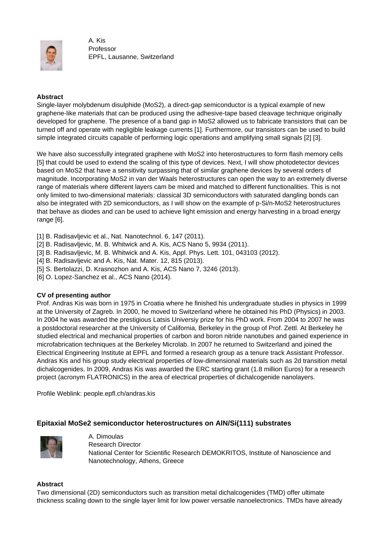

A. Kis Professor EPFL, Lausanne, Switzerland

## **Abstract**

Single-layer molybdenum disulphide (MoS2), a direct-gap semiconductor is a typical example of new graphene-like materials that can be produced using the adhesive-tape based cleavage technique originally developed for graphene. The presence of a band gap in MoS2 allowed us to fabricate transistors that can be turned off and operate with negligible leakage currents [1]. Furthermore, our transistors can be used to build simple integrated circuits capable of performing logic operations and amplifying small signals [2] [3].

We have also successfully integrated graphene with MoS2 into heterostructures to form flash memory cells [5] that could be used to extend the scaling of this type of devices. Next, I will show photodetector devices based on MoS2 that have a sensitivity surpassing that of similar graphene devices by several orders of magnitude. Incorporating MoS2 in van der Waals heterostructures can open the way to an extremely diverse range of materials where different layers cam be mixed and matched to different functionalities. This is not only limited to two-dimensional materials: classical 3D semiconductors with saturated dangling bonds can also be integrated with 2D semiconductors, as I will show on the example of p-Si/n-MoS2 heterostructures that behave as diodes and can be used to achieve light emission and energy harvesting in a broad energy range [6].

- [1] B. Radisavljevic et al., Nat. Nanotechnol. 6, 147 (2011).
- [2] B. Radisavljevic, M. B. Whitwick and A. Kis, ACS Nano 5, 9934 (2011).
- [3] B. Radisavljevic, M. B. Whitwick and A. Kis, Appl. Phys. Lett. 101, 043103 (2012).
- [4] B. Radisavljevic and A. Kis, Nat. Mater. 12, 815 (2013).
- [5] S. Bertolazzi, D. Krasnozhon and A. Kis, ACS Nano 7, 3246 (2013).
- [6] O. Lopez-Sanchez et al., ACS Nano (2014).

### **CV of presenting author**

Prof. Andras Kis was born in 1975 in Croatia where he finished his undergraduate studies in physics in 1999 at the University of Zagreb. In 2000, he moved to Switzerland where he obtained his PhD (Physics) in 2003. In 2004 he was awarded the prestigious Latsis Universiy prize for his PhD work. From 2004 to 2007 he was a postdoctoral researcher at the University of California, Berkeley in the group of Prof. Zettl. At Berkeley he studied electrical and mechanical properties of carbon and boron nitride nanotubes and gained experience in microfabrication techniques at the Berkeley Microlab. In 2007 he returned to Switzerland and joined the Electrical Engineering Institute at EPFL and formed a research group as a tenure track Assistant Professor. Andras Kis and his group study electrical properties of low-dimensional materials such as 2d transition metal dichalcogenides. In 2009, Andras Kis was awarded the ERC starting grant (1.8 million Euros) for a research project (acronym FLATRONICS) in the area of electrical properties of dichalcogenide nanolayers.

Profile Weblink: people.epfl.ch/andras.kis

## **Epitaxial MoSe2 semiconductor heterostructures on AlN/Si(111) substrates**



A. Dimoulas Research Director National Center for Scientific Research DEMOKRITOS, Institute of Nanoscience and Nanotechnology, Athens, Greece

### **Abstract**

Two dimensional (2D) semiconductors such as transition metal dichalcogenides (TMD) offer ultimate thickness scaling down to the single layer limit for low power versatile nanoelectronics. TMDs have already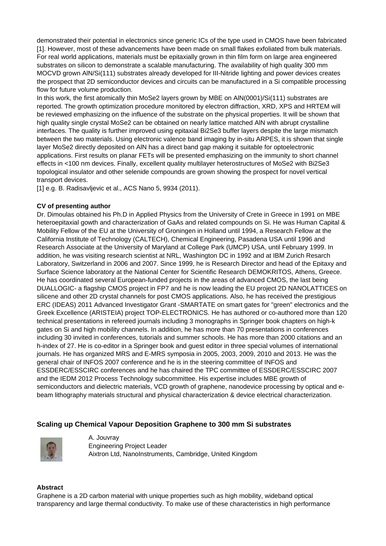demonstrated their potential in electronics since generic ICs of the type used in CMOS have been fabricated [1]. However, most of these advancements have been made on small flakes exfoliated from bulk materials. For real world applications, materials must be epitaxially grown in thin film form on large area engineered substrates on silicon to demonstrate a scalable manufacturing. The availability of high quality 300 mm MOCVD grown AlN/Si(111) substrates already developed for III-Nitride lighting and power devices creates the prospect that 2D semiconductor devices and circuits can be manufactured in a Si compatible processing flow for future volume production.

In this work, the first atomically thin MoSe2 layers grown by MBE on AlN(0001)/Si(111) substrates are reported. The growth optimization procedure monitored by electron diffraction, XRD, XPS and HRTEM will be reviewed emphasizing on the influence of the substrate on the physical properties. It will be shown that high quality single crystal MoSe2 can be obtained on nearly lattice matched AlN with abrupt crystalline interfaces. The quality is further improved using epitaxial Bi2Se3 buffer layers despite the large mismatch between the two materials. Using electronic valence band imaging by in-situ ARPES, it is shown that single layer MoSe2 directly deposited on AlN has a direct band gap making it suitable for optoelectronic applications. First results on planar FETs will be presented emphasizing on the immunity to short channel effects in <100 nm devices. Finally, excellent quality multilayer heterostructures of MoSe2 with Bi2Se3 topological insulator and other selenide compounds are grown showing the prospect for novel vertical transport devices.

[1] e.g. B. Radisavljevic et al., ACS Nano 5, 9934 (2011).

## **CV of presenting author**

Dr. Dimoulas obtained his Ph.D in Applied Physics from the University of Crete in Greece in 1991 on MBE heteroepitaxial gowth and characterization of GaAs and related compounds on Si. He was Human Capital & Mobility Fellow of the EU at the University of Groningen in Holland until 1994, a Research Fellow at the California Institute of Technology (CALTECH), Chemical Engineering, Pasadena USA until 1996 and Research Associate at the University of Maryland at College Park (UMCP) USA, until February 1999. In addition, he was visiting research scientist at NRL, Washington DC in 1992 and at IBM Zurich Resarch Laboratory, Switzerland in 2006 and 2007. Since 1999, he is Research Director and head of the Epitaxy and Surface Science laboratory at the National Center for Scientific Research DEMOKRITOS, Athens, Greece. He has coordinated several European-funded projects in the areas of advanced CMOS, the last being DUALLOGIC- a flagship CMOS project in FP7 and he is now leading the EU project 2D NANOLATTICES on silicene and other 2D crystal channels for post CMOS applications. Also, he has received the prestigious ERC (IDEAS) 2011 Advanced Investigator Grant -SMARTATE on smart gates for "green" electronics and the Greek Excellence (ARISTEIA) project TOP-ELECTRONICS. He has authored or co-authored more than 120 technical presentations in refereed journals including 3 monographs in Springer book chapters on high-k gates on Si and high mobility channels. In addition, he has more than 70 presentations in conferences including 30 invited in conferences, tutorials and summer schools. He has more than 2000 citations and an h-index of 27. He is co-editor in a Springer book and guest editor in three special volumes of international journals. He has organized MRS and E-MRS symposia in 2005, 2003, 2009, 2010 and 2013. He was the general chair of INFOS 2007 conference and he is in the steering committee of INFOS and ESSDERC/ESSCIRC conferences and he has chaired the TPC committee of ESSDERC/ESSCIRC 2007 and the IEDM 2012 Process Technology subcommittee. His expertise includes MBE growth of semiconductors and dielectric materials, VCD growth of graphene, nanodevice processing by optical and ebeam lithography materials structural and physical characterization & device electrical characterization.

# **Scaling up Chemical Vapour Deposition Graphene to 300 mm Si substrates**



A. Jouvray Engineering Project Leader Aixtron Ltd, NanoInstruments, Cambridge, United Kingdom

### **Abstract**

Graphene is a 2D carbon material with unique properties such as high mobility, wideband optical transparency and large thermal conductivity. To make use of these characteristics in high performance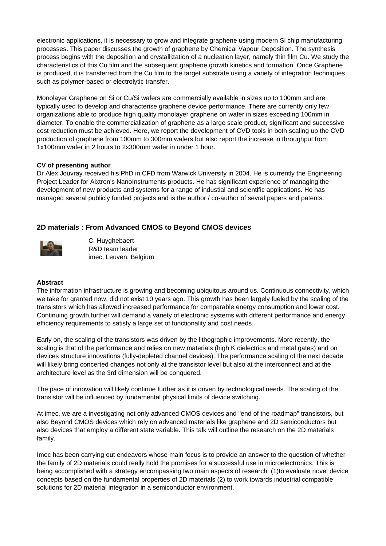electronic applications, it is necessary to grow and integrate graphene using modern Si chip manufacturing processes. This paper discusses the growth of graphene by Chemical Vapour Deposition. The synthesis process begins with the deposition and crystallization of a nucleation layer, namely thin film Cu. We study the characteristics of this Cu film and the subsequent graphene growth kinetics and formation. Once Graphene is produced, it is transferred from the Cu film to the target substrate using a variety of integration techniques such as polymer-based or electrolytic transfer.

Monolayer Graphene on Si or Cu/Si wafers are commercially available in sizes up to 100mm and are typically used to develop and characterise graphene device performance. There are currently only few organizations able to produce high quality monolayer graphene on wafer in sizes exceeding 100mm in diameter. To enable the commercialization of graphene as a large scale product, significant and successive cost reduction must be achieved. Here, we report the development of CVD tools in both scaling up the CVD production of graphene from 100mm to 300mm wafers but also report the increase in throughput from 1x100mm wafer in 2 hours to 2x300mm wafer in under 1 hour.

## **CV of presenting author**

Dr Alex Jouvray received his PhD in CFD from Warwick University in 2004. He is currently the Engineering Project Leader for Aixtron's NanoInstruments products. He has significant experience of managing the development of new products and systems for a range of industial and scientific applications. He has managed several publicly funded projects and is the author / co-author of sevral papers and patents.

# **2D materials : From Advanced CMOS to Beyond CMOS devices**



C. Huyghebaert R&D team leader imec, Leuven, Belgium

### **Abstract**

The information infrastructure is growing and becoming ubiquitous around us. Continuous connectivity, which we take for granted now, did not exist 10 years ago. This growth has been largely fueled by the scaling of the transistors which has allowed increased performance for comparable energy consumption and lower cost. Continuing growth further will demand a variety of electronic systems with different performance and energy efficiency requirements to satisfy a large set of functionality and cost needs.

Early on, the scaling of the transistors was driven by the lithographic improvements. More recently, the scaling is that of the performance and relies on new materials (high K dielectrics and metal gates) and on devices structure innovations (fully-depleted channel devices). The performance scaling of the next decade will likely bring concerted changes not only at the transistor level but also at the interconnect and at the architecture level as the 3rd dimension will be conquered.

The pace of innovation will likely continue further as it is driven by technological needs. The scaling of the transistor will be influenced by fundamental physical limits of device switching.

At imec, we are a investigating not only advanced CMOS devices and "end of the roadmap" transistors, but also Beyond CMOS devices which rely on advanced materials like graphene and 2D semiconductors but also devices that employ a different state variable. This talk will outline the research on the 2D materials family.

Imec has been carrying out endeavors whose main focus is to provide an answer to the question of whether the family of 2D materials could really hold the promises for a successful use in microelectronics. This is being accomplished with a strategy encompassing two main aspects of research: (1)to evaluate novel device concepts based on the fundamental properties of 2D materials (2) to work towards industrial compatible solutions for 2D material integration in a semiconductor environment.